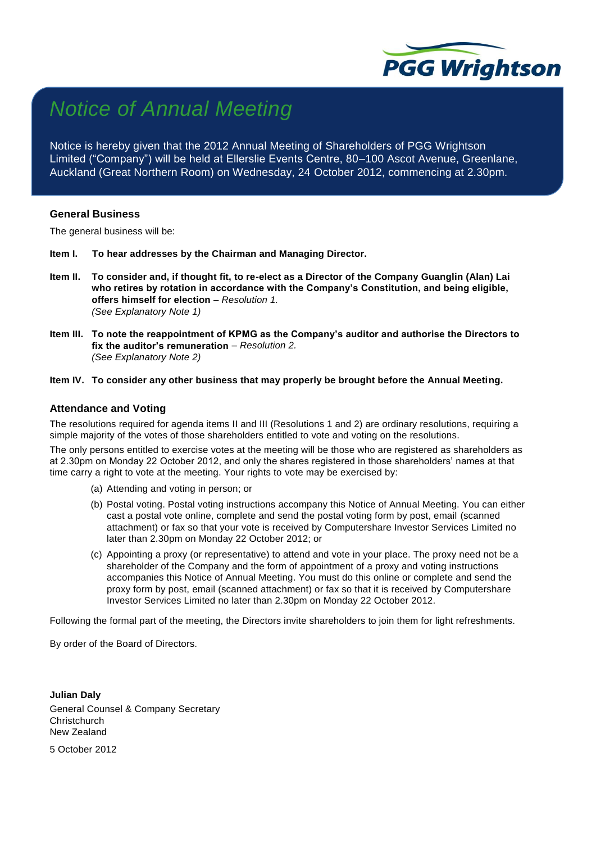

# *Notice of Annual Meeting*

Notice is hereby given that the 2012 Annual Meeting of Shareholders of PGG Wrightson Limited ("Company") will be held at Ellerslie Events Centre, 80–100 Ascot Avenue, Greenlane, Auckland (Great Northern Room) on Wednesday, 24 October 2012, commencing at 2.30pm.

### **General Business**

The general business will be:

- **Item I. To hear addresses by the Chairman and Managing Director.**
- **Item II. To consider and, if thought fit, to re-elect as a Director of the Company Guanglin (Alan) Lai who retires by rotation in accordance with the Company's Constitution, and being eligible, offers himself for election** – *Resolution 1. (See Explanatory Note 1)*
- **Item III. To note the reappointment of KPMG as the Company's auditor and authorise the Directors to fix the auditor's remuneration** *– Resolution 2. (See Explanatory Note 2)*

#### **Item IV. To consider any other business that may properly be brought before the Annual Meeting.**

#### **Attendance and Voting**

The resolutions required for agenda items II and III (Resolutions 1 and 2) are ordinary resolutions, requiring a simple majority of the votes of those shareholders entitled to vote and voting on the resolutions.

The only persons entitled to exercise votes at the meeting will be those who are registered as shareholders as at 2.30pm on Monday 22 October 2012, and only the shares registered in those shareholders' names at that time carry a right to vote at the meeting. Your rights to vote may be exercised by:

- (a) Attending and voting in person; or
- (b) Postal voting. Postal voting instructions accompany this Notice of Annual Meeting. You can either cast a postal vote online, complete and send the postal voting form by post, email (scanned attachment) or fax so that your vote is received by Computershare Investor Services Limited no later than 2.30pm on Monday 22 October 2012; or
- (c) Appointing a proxy (or representative) to attend and vote in your place. The proxy need not be a shareholder of the Company and the form of appointment of a proxy and voting instructions accompanies this Notice of Annual Meeting. You must do this online or complete and send the proxy form by post, email (scanned attachment) or fax so that it is received by Computershare Investor Services Limited no later than 2.30pm on Monday 22 October 2012.

Following the formal part of the meeting, the Directors invite shareholders to join them for light refreshments.

By order of the Board of Directors.

**Julian Daly** General Counsel & Company Secretary **Christchurch** New Zealand 5 October 2012